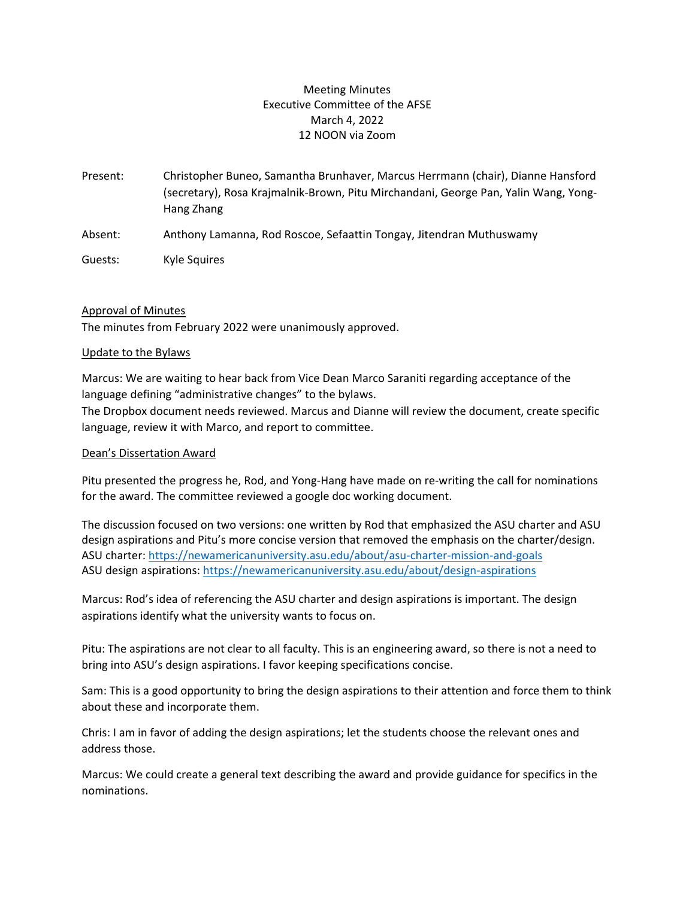# Meeting Minutes Executive Committee of the AFSE March 4, 2022 12 NOON via Zoom

Present: Christopher Buneo, Samantha Brunhaver, Marcus Herrmann (chair), Dianne Hansford (secretary), Rosa Krajmalnik-Brown, Pitu Mirchandani, George Pan, Yalin Wang, Yong-Hang Zhang

Absent: Anthony Lamanna, Rod Roscoe, Sefaattin Tongay, Jitendran Muthuswamy

Guests: Kyle Squires

## Approval of Minutes

The minutes from February 2022 were unanimously approved.

## Update to the Bylaws

Marcus: We are waiting to hear back from Vice Dean Marco Saraniti regarding acceptance of the language defining "administrative changes" to the bylaws.

The Dropbox document needs reviewed. Marcus and Dianne will review the document, create specific language, review it with Marco, and report to committee.

## Dean's Dissertation Award

Pitu presented the progress he, Rod, and Yong-Hang have made on re-writing the call for nominations for the award. The committee reviewed a google doc working document.

The discussion focused on two versions: one written by Rod that emphasized the ASU charter and ASU design aspirations and Pitu's more concise version that removed the emphasis on the charter/design. ASU charter:<https://newamericanuniversity.asu.edu/about/asu-charter-mission-and-goals> ASU design aspirations: https://newamericanuniversity.asu.edu/about/design-aspirations

Marcus: Rod's idea of referencing the ASU charter and design aspirations is important. The design aspirations identify what the university wants to focus on.

Pitu: The aspirations are not clear to all faculty. This is an engineering award, so there is not a need to bring into ASU's design aspirations. I favor keeping specifications concise.

Sam: This is a good opportunity to bring the design aspirations to their attention and force them to think about these and incorporate them.

Chris: I am in favor of adding the design aspirations; let the students choose the relevant ones and address those.

Marcus: We could create a general text describing the award and provide guidance for specifics in the nominations.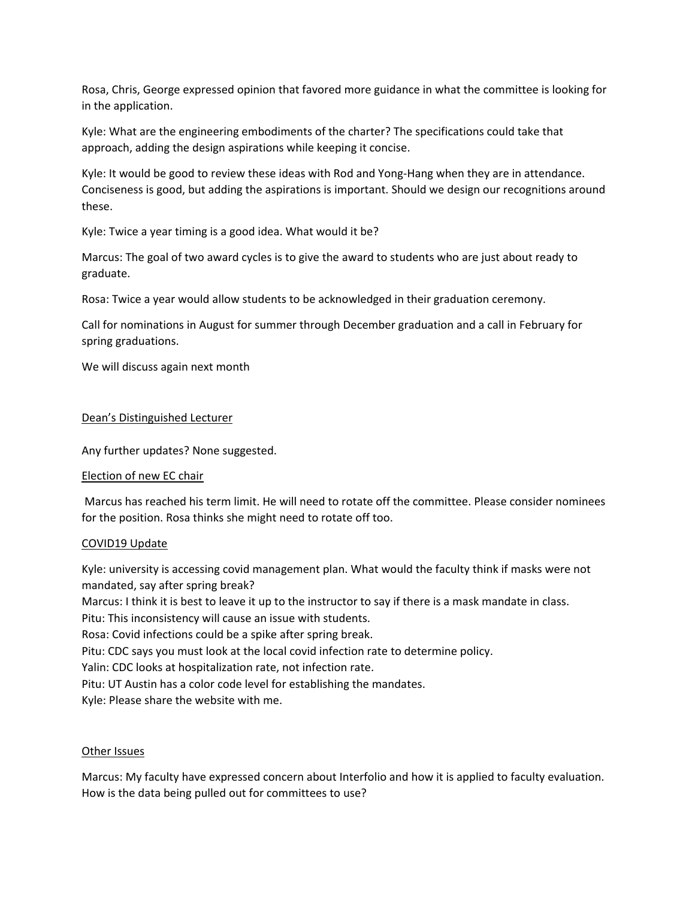Rosa, Chris, George expressed opinion that favored more guidance in what the committee is looking for in the application.

Kyle: What are the engineering embodiments of the charter? The specifications could take that approach, adding the design aspirations while keeping it concise.

Kyle: It would be good to review these ideas with Rod and Yong-Hang when they are in attendance. Conciseness is good, but adding the aspirations is important. Should we design our recognitions around these.

Kyle: Twice a year timing is a good idea. What would it be?

Marcus: The goal of two award cycles is to give the award to students who are just about ready to graduate.

Rosa: Twice a year would allow students to be acknowledged in their graduation ceremony.

Call for nominations in August for summer through December graduation and a call in February for spring graduations.

We will discuss again next month

### Dean's Distinguished Lecturer

Any further updates? None suggested.

#### Election of new EC chair

Marcus has reached his term limit. He will need to rotate off the committee. Please consider nominees for the position. Rosa thinks she might need to rotate off too.

#### COVID19 Update

Kyle: university is accessing covid management plan. What would the faculty think if masks were not mandated, say after spring break?

Marcus: I think it is best to leave it up to the instructor to say if there is a mask mandate in class.

Pitu: This inconsistency will cause an issue with students.

Rosa: Covid infections could be a spike after spring break.

Pitu: CDC says you must look at the local covid infection rate to determine policy.

Yalin: CDC looks at hospitalization rate, not infection rate.

Pitu: UT Austin has a color code level for establishing the mandates.

Kyle: Please share the website with me.

#### Other Issues

Marcus: My faculty have expressed concern about Interfolio and how it is applied to faculty evaluation. How is the data being pulled out for committees to use?